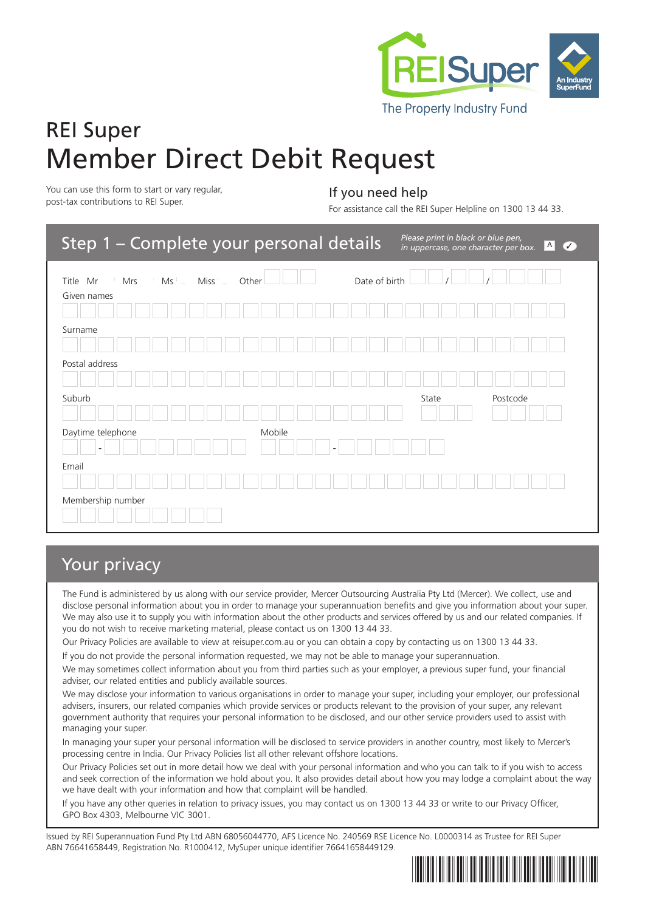

# REI Super Member Direct Debit Request

You can use this form to start or vary regular, You can use this form to start or vary regular,<br>post-tax contributions to REI Super.

For assistance call the REI Super Helpline on 1300 13 44 33.

| Step 1 - Complete your personal details      |                        | Please print in black or blue pen,<br>in uppercase, one character per box. | A <br>$\sqrt{2}$ |
|----------------------------------------------|------------------------|----------------------------------------------------------------------------|------------------|
| Miss<br>Title Mr<br>Mrs<br>Ms<br>Given names | Date of birth<br>Other |                                                                            |                  |
|                                              |                        |                                                                            |                  |
| Surname                                      |                        |                                                                            |                  |
| Postal address                               |                        |                                                                            |                  |
| Suburb                                       |                        | Postcode<br>State                                                          |                  |
| Daytime telephone                            | Mobile                 |                                                                            |                  |
| Email                                        |                        |                                                                            |                  |
| Membership number                            |                        |                                                                            |                  |

# Your privacy

The Fund is administered by us along with our service provider, Mercer Outsourcing Australia Pty Ltd (Mercer). We collect, use and disclose personal information about you in order to manage your superannuation benefits and give you information about your super. We may also use it to supply you with information about the other products and services offered by us and our related companies. If you do not wish to receive marketing material, please contact us on 1300 13 44 33.

Our Privacy Policies are available to view at reisuper.com.au or you can obtain a copy by contacting us on 1300 13 44 33.

If you do not provide the personal information requested, we may not be able to manage your superannuation.

We may sometimes collect information about you from third parties such as your employer, a previous super fund, your financial adviser, our related entities and publicly available sources.

We may disclose your information to various organisations in order to manage your super, including your employer, our professional advisers, insurers, our related companies which provide services or products relevant to the provision of your super, any relevant government authority that requires your personal information to be disclosed, and our other service providers used to assist with managing your super.

In managing your super your personal information will be disclosed to service providers in another country, most likely to Mercer's processing centre in India. Our Privacy Policies list all other relevant offshore locations.

Our Privacy Policies set out in more detail how we deal with your personal information and who you can talk to if you wish to access and seek correction of the information we hold about you. It also provides detail about how you may lodge a complaint about the way we have dealt with your information and how that complaint will be handled.

If you have any other queries in relation to privacy issues, you may contact us on 1300 13 44 33 or write to our Privacy Officer, GPO Box 4303, Melbourne VIC 3001.

Issued by REI Superannuation Fund Pty Ltd ABN 68056044770, AFS Licence No. 240569 RSE Licence No. L0000314 as Trustee for REI Super ABN 76641658449, Registration No. R1000412, MySuper unique identifier 76641658449129.

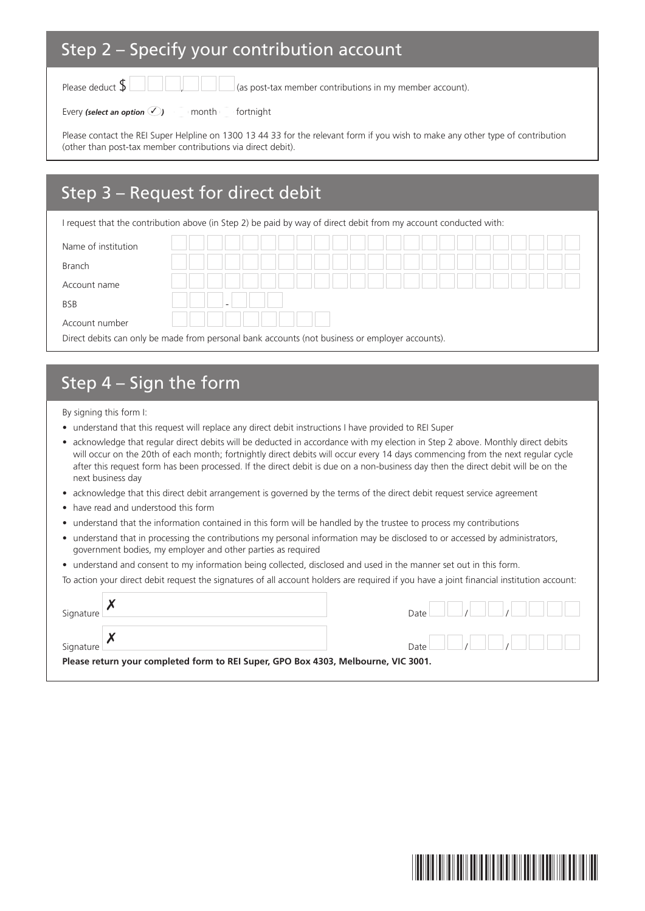### Step 2 – Specify your contribution account

Please deduct  $\oint$   $\Box$   $\Box$   $\Box$   $\Box$  (as post-tax member contributions in my member account).

Every *(select an option* ✓ *)* month fortnight

Please contact the REI Super Helpline on 1300 13 44 33 for the relevant form if you wish to make any other type of contribution (other than post-tax member contributions via direct debit).

# Step 3 – Request for direct debit

I request that the contribution above (in Step 2) be paid by way of direct debit from my account conducted with:

| Name of institution                                                                             |  |  |  |  |  |  |
|-------------------------------------------------------------------------------------------------|--|--|--|--|--|--|
| Branch                                                                                          |  |  |  |  |  |  |
| Account name                                                                                    |  |  |  |  |  |  |
| <b>BSB</b>                                                                                      |  |  |  |  |  |  |
| Account number                                                                                  |  |  |  |  |  |  |
| Direct debits can only be made from personal bank accounts (not business or employer accounts). |  |  |  |  |  |  |

# Step 4 – Sign the form

By signing this form I:

- understand that this request will replace any direct debit instructions I have provided to REI Super
- acknowledge that regular direct debits will be deducted in accordance with my election in Step 2 above. Monthly direct debits will occur on the 20th of each month; fortnightly direct debits will occur every 14 days commencing from the next regular cycle after this request form has been processed. If the direct debit is due on a non-business day then the direct debit will be on the next business day
- acknowledge that this direct debit arrangement is governed by the terms of the direct debit request service agreement
- have read and understood this form
- understand that the information contained in this form will be handled by the trustee to process my contributions
- understand that in processing the contributions my personal information may be disclosed to or accessed by administrators, government bodies, my employer and other parties as required
- understand and consent to my information being collected, disclosed and used in the manner set out in this form.

To action your direct debit request the signatures of all account holders are required if you have a joint financial institution account:

| Signature |                                                                                    | Date |  |  |
|-----------|------------------------------------------------------------------------------------|------|--|--|
| Signature | Please return your completed form to REI Super, GPO Box 4303, Melbourne, VIC 3001. | Date |  |  |